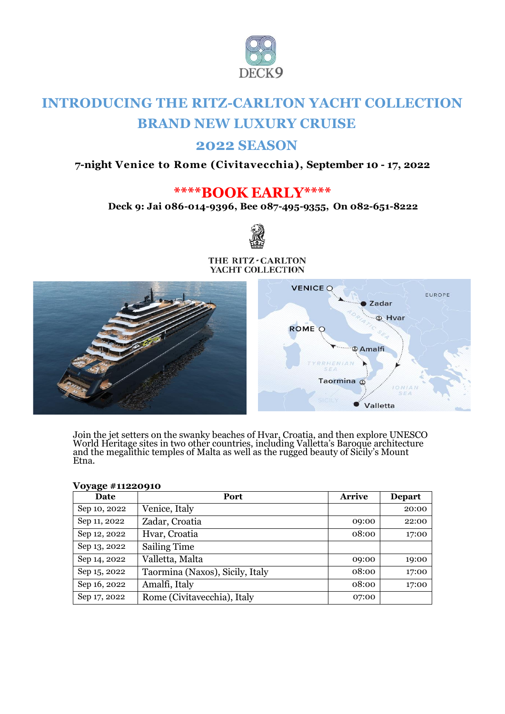

# **INTRODUCING THE RITZ-CARLTON YACHT COLLECTION BRAND NEW LUXURY CRUISE**

# **2022 SEASON**

## **7-night Venice to Rome (Civitavecchia), September 10 - 17, 2022**

# **\*\*\*\*BOOK EARLY\*\*\*\***

**Deck 9: Jai 086-014-9396, Bee 087-495-9355, On 082-651-8222** 



#### THE RITZ-CARLTON YACHT COLLECTION



Join the jet setters on the swanky beaches of Hvar, Croatia, and then explore UNESCO World Heritage sites in two other countries, including Valletta's Baroque architecture and the megalithic temples of Malta as well as the rugged beauty of Sicily's Mount Etna.

| Date         | Port                            | <b>Arrive</b> | Depart |
|--------------|---------------------------------|---------------|--------|
| Sep 10, 2022 | Venice, Italy                   |               | 20:00  |
| Sep 11, 2022 | Zadar, Croatia                  | 09:00         | 22:00  |
| Sep 12, 2022 | Hvar, Croatia                   | 08:00         | 17:00  |
| Sep 13, 2022 | <b>Sailing Time</b>             |               |        |
| Sep 14, 2022 | Valletta, Malta                 | 09:00         | 19:00  |
| Sep 15, 2022 | Taormina (Naxos), Sicily, Italy | 08:00         | 17:00  |
| Sep 16, 2022 | Amalfi, Italy                   | 08:00         | 17:00  |
| Sep 17, 2022 | Rome (Civitavecchia), Italy     | 07:00         |        |

#### **Voyage #11220910**